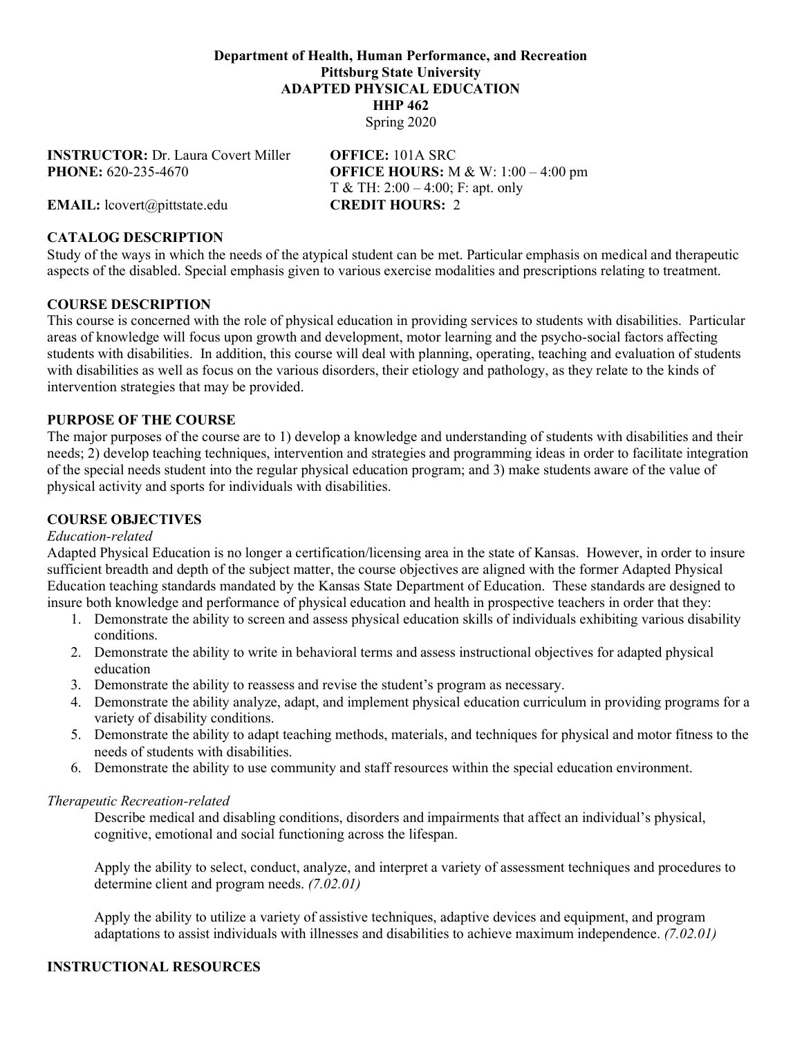#### **Department of Health, Human Performance, and Recreation Pittsburg State University ADAPTED PHYSICAL EDUCATION HHP 462** Spring 2020

**INSTRUCTOR:** Dr. Laura Covert Miller **OFFICE:** 101A SRC

**PHONE:** 620-235-4670 **OFFICE HOURS:** M & W: 1:00 – 4:00 pm T & TH: 2:00 – 4:00; F: apt. only

**EMAIL:** lcovert@pittstate.edu **CREDIT HOURS:** 2

## **CATALOG DESCRIPTION**

Study of the ways in which the needs of the atypical student can be met. Particular emphasis on medical and therapeutic aspects of the disabled. Special emphasis given to various exercise modalities and prescriptions relating to treatment.

#### **COURSE DESCRIPTION**

This course is concerned with the role of physical education in providing services to students with disabilities. Particular areas of knowledge will focus upon growth and development, motor learning and the psycho-social factors affecting students with disabilities. In addition, this course will deal with planning, operating, teaching and evaluation of students with disabilities as well as focus on the various disorders, their etiology and pathology, as they relate to the kinds of intervention strategies that may be provided.

#### **PURPOSE OF THE COURSE**

The major purposes of the course are to 1) develop a knowledge and understanding of students with disabilities and their needs; 2) develop teaching techniques, intervention and strategies and programming ideas in order to facilitate integration of the special needs student into the regular physical education program; and 3) make students aware of the value of physical activity and sports for individuals with disabilities.

### **COURSE OBJECTIVES**

#### *Education-related*

Adapted Physical Education is no longer a certification/licensing area in the state of Kansas. However, in order to insure sufficient breadth and depth of the subject matter, the course objectives are aligned with the former Adapted Physical Education teaching standards mandated by the Kansas State Department of Education. These standards are designed to insure both knowledge and performance of physical education and health in prospective teachers in order that they:

- 1. Demonstrate the ability to screen and assess physical education skills of individuals exhibiting various disability conditions.
- 2. Demonstrate the ability to write in behavioral terms and assess instructional objectives for adapted physical education
- 3. Demonstrate the ability to reassess and revise the student's program as necessary.
- 4. Demonstrate the ability analyze, adapt, and implement physical education curriculum in providing programs for a variety of disability conditions.
- 5. Demonstrate the ability to adapt teaching methods, materials, and techniques for physical and motor fitness to the needs of students with disabilities.
- 6. Demonstrate the ability to use community and staff resources within the special education environment.

#### *Therapeutic Recreation-related*

Describe medical and disabling conditions, disorders and impairments that affect an individual's physical, cognitive, emotional and social functioning across the lifespan.

Apply the ability to select, conduct, analyze, and interpret a variety of assessment techniques and procedures to determine client and program needs. *(7.02.01)*

Apply the ability to utilize a variety of assistive techniques, adaptive devices and equipment, and program adaptations to assist individuals with illnesses and disabilities to achieve maximum independence. *(7.02.01)*

#### **INSTRUCTIONAL RESOURCES**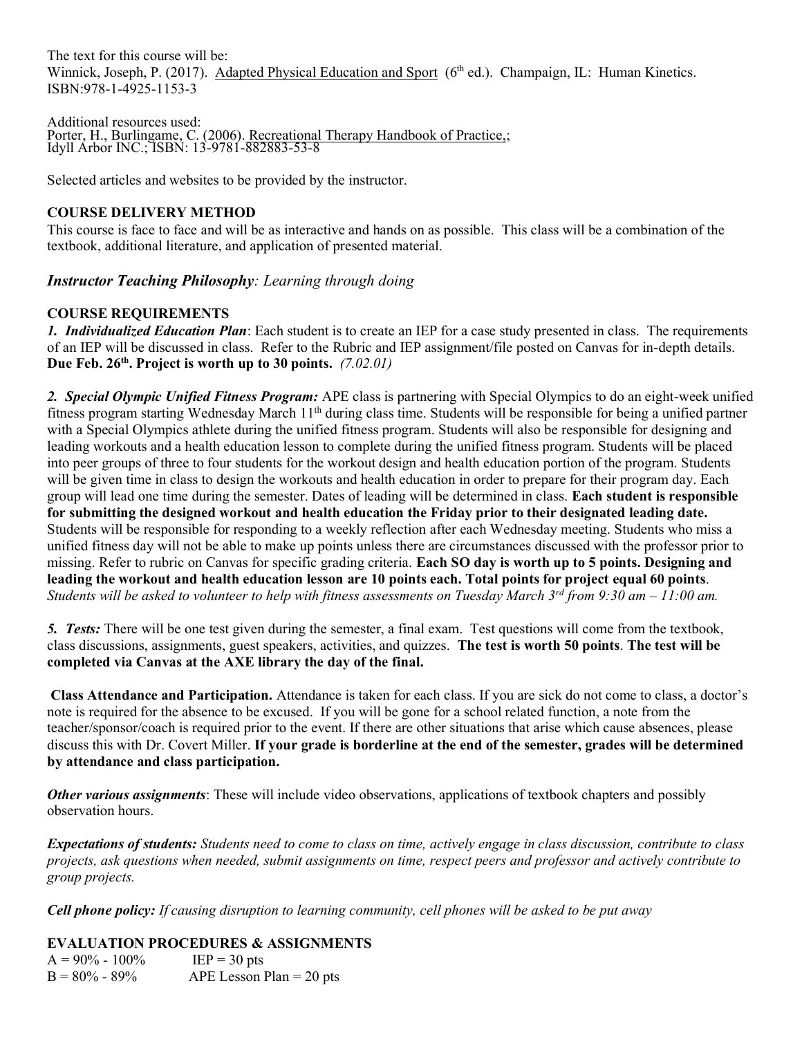The text for this course will be: Winnick, Joseph, P. (2017). Adapted Physical Education and Sport (6<sup>th</sup> ed.). Champaign, IL: Human Kinetics. ISBN:978-1-4925-1153-3

Additional resources used: Porter, H., Burlingame, C. (2006). Recreational Therapy Handbook of Practice,; Idyll Arbor INC.; ISBN: 13-9781-882883-53-8

Selected articles and websites to be provided by the instructor.

## **COURSE DELIVERY METHOD**

This course is face to face and will be as interactive and hands on as possible. This class will be a combination of the textbook, additional literature, and application of presented material.

*Instructor Teaching Philosophy: Learning through doing*

## **COURSE REQUIREMENTS**

*1. Individualized Education Plan*: Each student is to create an IEP for a case study presented in class. The requirements of an IEP will be discussed in class. Refer to the Rubric and IEP assignment/file posted on Canvas for in-depth details. Due Feb. 26<sup>th</sup>. Project is worth up to 30 points. *(7.02.01)* 

*2. Special Olympic Unified Fitness Program:* APE class is partnering with Special Olympics to do an eight-week unified fitness program starting Wednesday March 11<sup>th</sup> during class time. Students will be responsible for being a unified partner with a Special Olympics athlete during the unified fitness program. Students will also be responsible for designing and leading workouts and a health education lesson to complete during the unified fitness program. Students will be placed into peer groups of three to four students for the workout design and health education portion of the program. Students will be given time in class to design the workouts and health education in order to prepare for their program day. Each group will lead one time during the semester. Dates of leading will be determined in class. **Each student is responsible for submitting the designed workout and health education the Friday prior to their designated leading date.** Students will be responsible for responding to a weekly reflection after each Wednesday meeting. Students who miss a unified fitness day will not be able to make up points unless there are circumstances discussed with the professor prior to missing. Refer to rubric on Canvas for specific grading criteria. **Each SO day is worth up to 5 points. Designing and leading the workout and health education lesson are 10 points each. Total points for project equal 60 points**. *Students will be asked to volunteer to help with fitness assessments on Tuesday March 3rd from 9:30 am – 11:00 am.*

*5. Tests:* There will be one test given during the semester, a final exam. Test questions will come from the textbook, class discussions, assignments, guest speakers, activities, and quizzes. **The test is worth 50 points**. **The test will be completed via Canvas at the AXE library the day of the final.**

**Class Attendance and Participation.** Attendance is taken for each class. If you are sick do not come to class, a doctor's note is required for the absence to be excused. If you will be gone for a school related function, a note from the teacher/sponsor/coach is required prior to the event. If there are other situations that arise which cause absences, please discuss this with Dr. Covert Miller. **If your grade is borderline at the end of the semester, grades will be determined by attendance and class participation.**

*Other various assignments*: These will include video observations, applications of textbook chapters and possibly observation hours.

*Expectations of students: Students need to come to class on time, actively engage in class discussion, contribute to class projects, ask questions when needed, submit assignments on time, respect peers and professor and actively contribute to group projects.*

*Cell phone policy: If causing disruption to learning community, cell phones will be asked to be put away*

**EVALUATION PROCEDURES & ASSIGNMENTS**

 $A = 90\% - 100\%$  IEP = 30 pts  $B = 80\% - 89\%$  APE Lesson Plan = 20 pts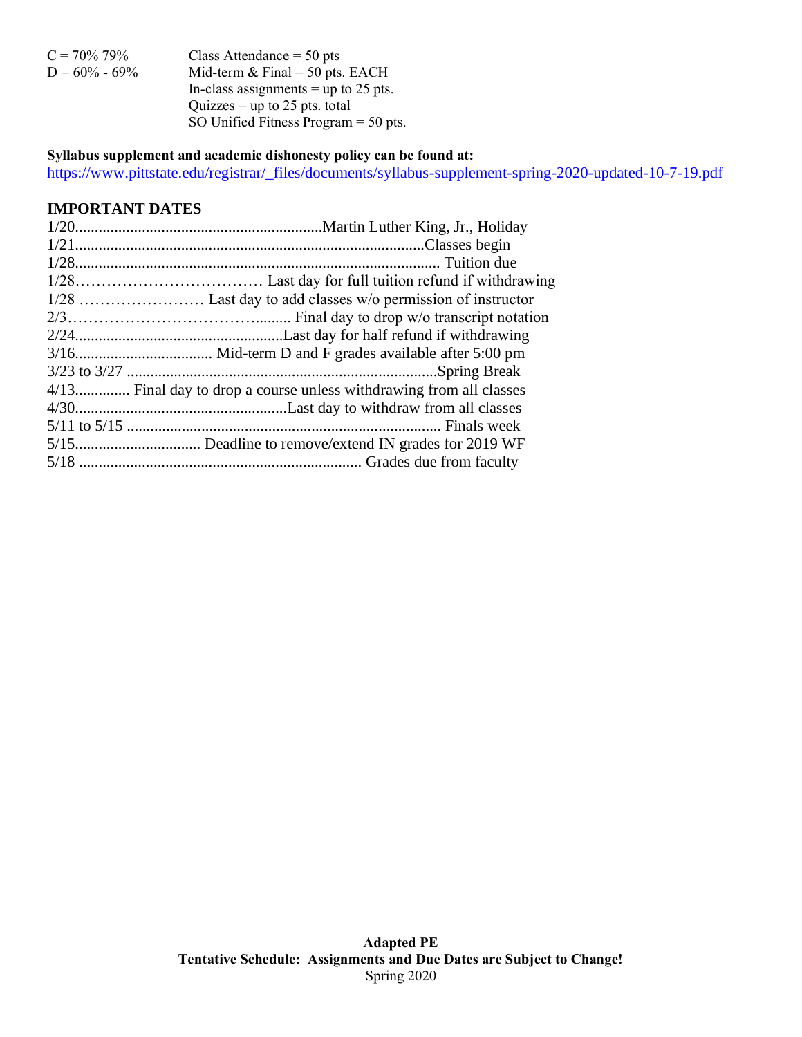| $C = 70\% 79\%$   | Class Attendance $=$ 50 pts            |
|-------------------|----------------------------------------|
| $D = 60\% - 69\%$ | Mid-term $&$ Final = 50 pts. EACH      |
|                   | In-class assignments = up to 25 pts.   |
|                   | Quizzes = up to 25 pts. total          |
|                   | SO Unified Fitness Program $=$ 50 pts. |
|                   |                                        |

# **Syllabus supplement and academic dishonesty policy can be found at:**

[https://www.pittstate.edu/registrar/\\_files/documents/syllabus-supplement-spring-2020-updated-10-7-19.pdf](https://www.pittstate.edu/registrar/_files/documents/syllabus-supplement-spring-2020-updated-10-7-19.pdf)

## **IMPORTANT DATES**

| 4/13 Final day to drop a course unless withdrawing from all classes |
|---------------------------------------------------------------------|
|                                                                     |
|                                                                     |
|                                                                     |
|                                                                     |